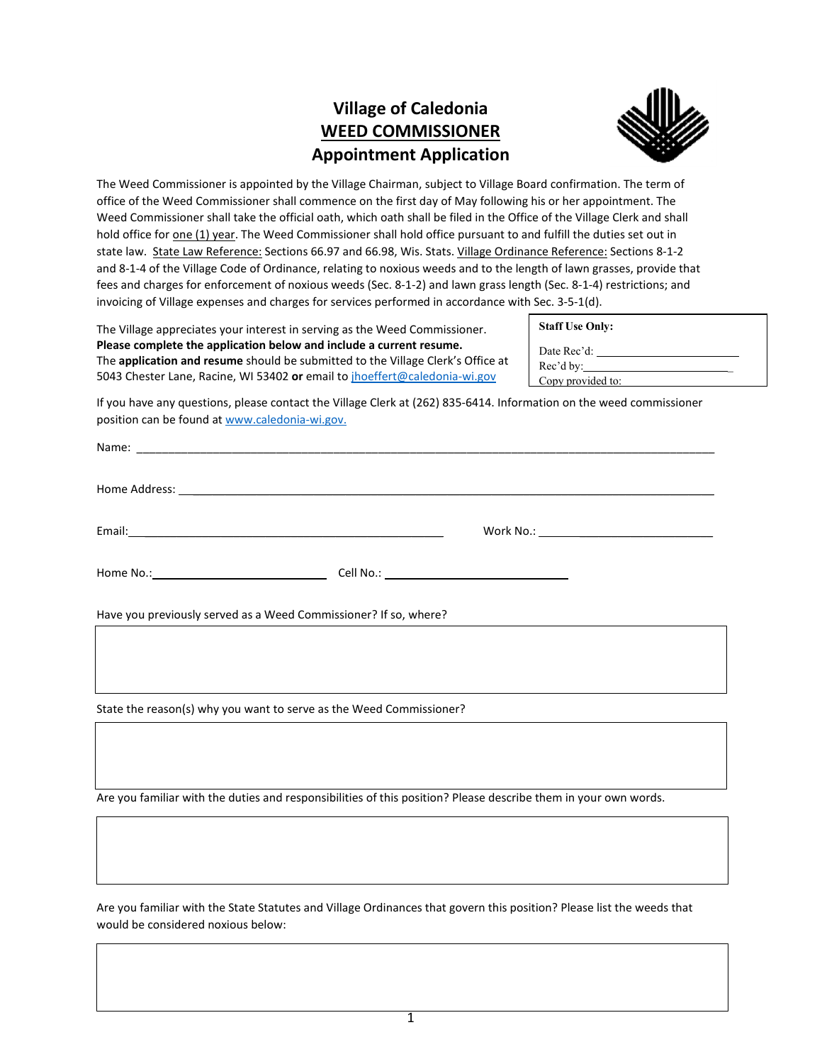## **Village of Caledonia WEED COMMISSIONER Appointment Application**



The Weed Commissioner is appointed by the Village Chairman, subject to Village Board confirmation. The term of office of the Weed Commissioner shall commence on the first day of May following his or her appointment. The Weed Commissioner shall take the official oath, which oath shall be filed in the Office of the Village Clerk and shall hold office for one (1) year. The Weed Commissioner shall hold office pursuant to and fulfill the duties set out in state law. State Law Reference: Sections 66.97 and 66.98, Wis. Stats. Village Ordinance Reference: Sections 8-1-2 and 8-1-4 of the Village Code of Ordinance, relating to noxious weeds and to the length of lawn grasses, provide that fees and charges for enforcement of noxious weeds (Sec. 8-1-2) and lawn grass length (Sec. 8-1-4) restrictions; and invoicing of Village expenses and charges for services performed in accordance with Sec. 3-5-1(d).

The Village appreciates your interest in serving as the Weed Commissioner. **Please complete the application below and include a current resume.**  The **application and resume** should be submitted to the Village Clerk's Office at 5043 Chester Lane, Racine, WI 53402 **or** email to [jhoeffert@caledonia-wi.gov](mailto:jhoeffert@caledonia-wi.gov)

| <b>Staff Use Only:</b> |  |
|------------------------|--|
| Date Rec'd:            |  |
| Rec'd by:              |  |
| Copy provided to:      |  |

If you have any questions, please contact the Village Clerk at (262) 835-6414. Information on the weed commissioner position can be found at [www.caledonia-wi.gov.](http://www.caledonia-wi.gov/)

| Have you previously served as a Weed Commissioner? If so, where?    |  |  |  |
|---------------------------------------------------------------------|--|--|--|
|                                                                     |  |  |  |
| State the reason(s) why you want to serve as the Weed Commissioner? |  |  |  |
|                                                                     |  |  |  |

Are you familiar with the duties and responsibilities of this position? Please describe them in your own words.

Are you familiar with the State Statutes and Village Ordinances that govern this position? Please list the weeds that would be considered noxious below: